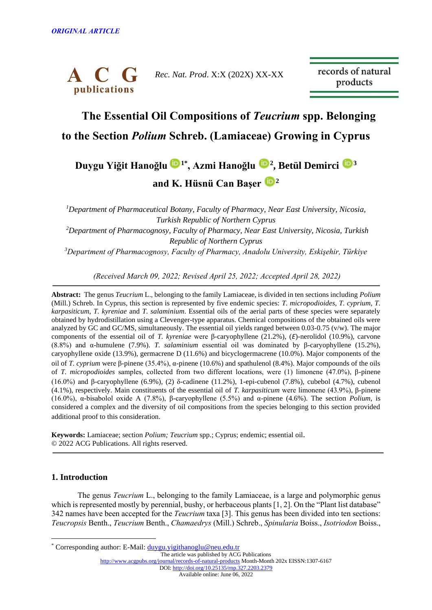

records of natural products

# **The Essential Oil Compositions of** *Teucrium* **spp. Belonging to the Section** *Polium* **Schreb. (Lamiaceae) Growing in Cyprus**

# **Duygu Yiğit Hanoğlu [1](https://orcid.org/0000-0003-1345-4768)\* , Azmi Hanoğlu <sup>2</sup> , Betül Demirci [3](https://orcid.org/0000-0003-2343-746X) and K. Hüsnü Can Başer <sup>2</sup>**

*<sup>1</sup>Department of Pharmaceutical Botany, Faculty of Pharmacy, Near East University, Nicosia, Turkish Republic of Northern Cyprus*

*<sup>2</sup>Department of Pharmacognosy, Faculty of Pharmacy, Near East University, Nicosia, Turkish Republic of Northern Cyprus* 

*<sup>3</sup>Department of Pharmacognosy, Faculty of Pharmacy, Anadolu University, Eskişehir, Türkiye*

*(Received March 09, 2022; Revised April 25, 2022; Accepted April 28, 2022)*

**Abstract:** The genus *Teucrium* L., belonging to the family Lamiaceae, is divided in ten sections including *Polium* (Mill.) Schreb. In Cyprus, this section is represented by five endemic species: *T. micropodioides, T. cyprium, T. karpasiticum*, *T. kyreniae* and *T. salaminium*. Essential oils of the aerial parts of these species were separately obtained by hydrodistillation using a Clevenger-type apparatus. Chemical compositions of the obtained oils were analyzed by GC and GC/MS, simultaneously. The essential oil yields ranged between 0.03-0.75 (v/w). The major components of the essential oil of *T. kyreniae* were β-caryophyllene (21.2%), (*Ε*)-nerolidol (10.9%), carvone (8.8%) and α-humulene (7.9%). *T. salaminium* essential oil was dominated by β-caryophyllene (15.2%), caryophyllene oxide (13.9%), germacrene D (11.6%) and bicyclogermacrene (10.0%). Major components of the oil of *T. cyprium* were β-pinene (35.4%), α-pinene (10.6%) and spathulenol (8.4%). Major compounds of the oils of *T. micropodioides* samples, collected from two different locations, were (1) limonene (47.0%), β-pinene (16.0%) and β-caryophyllene (6.9%), (2) δ-cadinene (11.2%), 1-epi-cubenol (7.8%), cubebol (4.7%), cubenol (4.1%), respectively. Main constituents of the essential oil of *T. karpasiticum* were limonene (43.9%), β-pinene (16.0%), α-bisabolol oxide A (7.8%), β-caryophyllene (5.5%) and α-pinene (4.6%). The section *Polium*, is considered a complex and the diversity of oil compositions from the species belonging to this section provided additional proof to this consideration.

**Keywords:** Lamiaceae; section *Polium; Teucrium* spp.; Cyprus; endemic; essential oil. © 2022 ACG Publications. All rights reserved.

# **1. Introduction**

The genus *Teucrium* L., belonging to the family Lamiaceae, is a large and polymorphic genus which is represented mostly by perennial, bushy, or herbaceous plants [1, 2]. On the "Plant list database" 342 names have been accepted for the *Teucrium* taxa [3]. This genus has been divided into ten sections: *Teucropsis* Benth., *Teucrium* Benth., *Chamaedrys* (Mill.) Schreb., *Spinularia* Boiss., *Isotriodon* Boiss.,

<sup>\*</sup> Corresponding author: E-Mail: [duygu.yigithanoglu@neu.edu.tr](mailto:duygu.yigithanoglu@neu.edu.tr)

The article was published by ACG Publications <http://www.acgpubs.org/journal/records-of-natural-products> Month-Month 202x EISSN:1307-6167 DOI[: http://doi.org/10.25135/rnp.327.2203.2379](http://doi.org/10.25135/rnp.327.2203.2379) Available online: June 06, 2022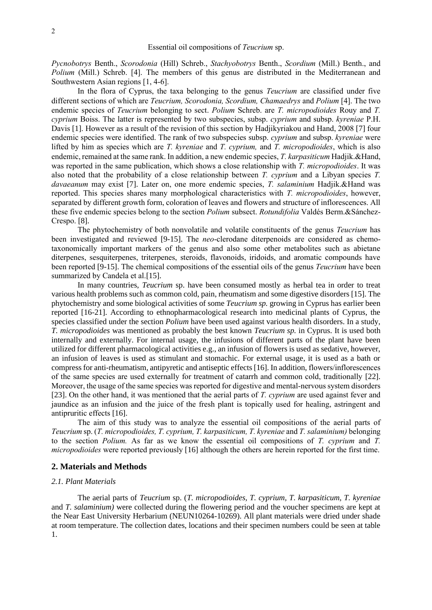*Pycnobotrys* Benth., *Scorodonia* (Hill) Schreb., *Stachyobotrys* Benth., *Scordium* (Mill.) Benth., and *Polium* (Mill.) Schreb. [4]. The members of this genus are distributed in the Mediterranean and Southwestern Asian regions [1, 4-6].

In the flora of Cyprus, the taxa belonging to the genus *Teucrium* are classified under five different sections of which are *Teucrium, Scorodonia, Scordium, Chamaedrys* and *Polium* [4]. The two endemic species of *Teucrium* belonging to sect. *Polium* Schreb. are *T. micropodioides* Rouy and *T. cyprium* Boiss. The latter is represented by two subspecies, subsp. *cyprium* and subsp. *kyreniae* P.H. Davis [1]. However as a result of the revision of this section by Hadjikyriakou and Hand, 2008 [7] four endemic species were identified. The rank of two subspecies subsp. *cyprium* and subsp. *kyreniae* were lifted by him as species which are *T. kyreniae* and *T. cyprium,* and *T. micropodioides*, which is also endemic, remained at the same rank. In addition, a new endemic species, *T. karpasiticum* Hadjik.&Hand, was reported in the same publication, which shows a close relationship with *T. micropodioides*. It was also noted that the probability of a close relationship between *T. cyprium* and a Libyan species *T. davaeanum* may exist [7]. Later on, one more endemic species, *T. salaminium* Hadjik.&Hand was reported. This species shares many morphological characteristics with *T. micropodioides*, however, separated by different growth form, coloration of leaves and flowers and structure of inflorescences. All these five endemic species belong to the section *Polium* subsect. *Rotundifolia* Valdés Berm.&Sánchez-Crespo. [8].

The phytochemistry of both nonvolatile and volatile constituents of the genus *Teucrium* has been investigated and reviewed [9-15]. The *neo*-clerodane diterpenoids are considered as chemotaxonomically important markers of the genus and also some other metabolites such as abietane diterpenes, sesquiterpenes, triterpenes, steroids, flavonoids, iridoids, and aromatic compounds have been reported [9-15]. The chemical compositions of the essential oils of the genus *Teucrium* have been summarized by Candela et al.<sup>[15]</sup>.

In many countries, *Teucrium* sp. have been consumed mostly as herbal tea in order to treat various health problems such as common cold, pain, rheumatism and some digestive disorders [15]. The phytochemistry and some biological activities of some *Teucrium sp.* growing in Cyprus has earlier been reported [16-21]. According to ethnopharmacological research into medicinal plants of Cyprus, the species classified under the section *Polium* have been used against various health disorders. In a study, *T. micropodioides* was mentioned as probably the best known *Teucrium sp.* in Cyprus. It is used both internally and externally. For internal usage, the infusions of different parts of the plant have been utilized for different pharmacological activities e.g., an infusion of flowers is used as sedative, however, an infusion of leaves is used as stimulant and stomachic. For external usage, it is used as a bath or compress for anti-rheumatism, antipyretic and antiseptic effects [16]. In addition, flowers/inflorescences of the same species are used externally for treatment of catarrh and common cold, traditionally [22]. Moreover, the usage of the same species was reported for digestive and mental-nervous system disorders [23]. On the other hand, it was mentioned that the aerial parts of *T. cyprium* are used against fever and jaundice as an infusion and the juice of the fresh plant is topically used for healing, astringent and antipruritic effects [16].

The aim of this study was to analyze the essential oil compositions of the aerial parts of *Teucrium* sp. (*T. micropodioides, T. cyprium, T. karpasiticum, T. kyreniae* and *T. salaminium)* belonging to the section *Polium.* As far as we know the essential oil compositions of *T. cyprium* and *T. micropodioides* were reported previously [16] although the others are herein reported for the first time.

## **2. Materials and Methods**

#### *2.1. Plant Materials*

The aerial parts of *Teucrium* sp. (*T. micropodioides, T. cyprium, T. karpasiticum, T. kyreniae*  and *T. salaminium)* were collected during the flowering period and the voucher specimens are kept at the Near East University Herbarium (NEUN10264-10269). All plant materials were dried under shade at room temperature. The collection dates, locations and their specimen numbers could be seen at table 1.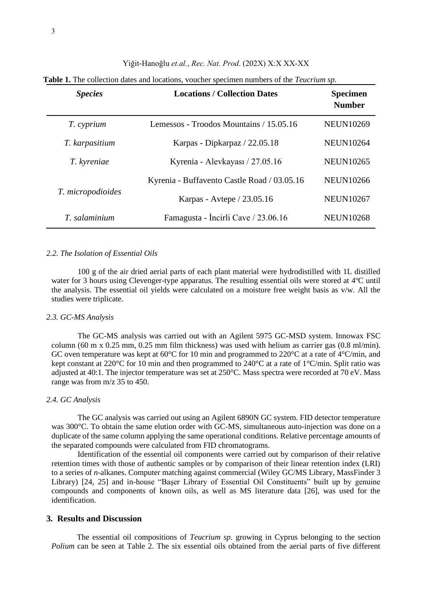| <b>Species</b>    | <b>Locations / Collection Dates</b>         | <b>Specimen</b><br><b>Number</b> |
|-------------------|---------------------------------------------|----------------------------------|
| T. cyprium        | Lemessos - Troodos Mountains / 15.05.16     | <b>NEUN10269</b>                 |
| T. karpasitium    | Karpas - Dipkarpaz / 22.05.18               | <b>NEUN10264</b>                 |
| T. kyreniae       | Kyrenia - Alevkayası / 27.05.16             | <b>NEUN10265</b>                 |
|                   | Kyrenia - Buffavento Castle Road / 03.05.16 | <b>NEUN10266</b>                 |
| T. micropodioides | Karpas - Avtepe / 23.05.16                  | <b>NEUN10267</b>                 |
| T. salaminium     | Famagusta - Incirli Cave / 23.06.16         | <b>NEUN10268</b>                 |

**Table 1.** The collection dates and locations, voucher specimen numbers of the *Teucrium sp.*

#### *2.2. The Isolation of Essential Oils*

100 g of the air dried aerial parts of each plant material were hydrodistilled with 1L distilled water for 3 hours using Clevenger-type apparatus. The resulting essential oils were stored at  $4^{\circ}$ C until the analysis. The essential oil yields were calculated on a moisture free weight basis as v/w. All the studies were triplicate.

### *2.3. GC-MS Analysis*

The GC-MS analysis was carried out with an Agilent 5975 GC-MSD system. Innowax FSC column (60 m x 0.25 mm, 0.25 mm film thickness) was used with helium as carrier gas (0.8 ml/min). GC oven temperature was kept at 60°C for 10 min and programmed to 220°C at a rate of 4°C/min, and kept constant at 220°C for 10 min and then programmed to 240°C at a rate of 1°C/min. Split ratio was adjusted at 40:1. The injector temperature was set at 250°C. Mass spectra were recorded at 70 eV. Mass range was from m/z 35 to 450.

# *2.4. GC Analysis*

The GC analysis was carried out using an Agilent 6890N GC system. FID detector temperature was 300°C. To obtain the same elution order with GC-MS, simultaneous auto-injection was done on a duplicate of the same column applying the same operational conditions. Relative percentage amounts of the separated compounds were calculated from FID chromatograms.

Identification of the essential oil components were carried out by comparison of their relative retention times with those of authentic samples or by comparison of their linear retention index (LRI) to a series of *n*-alkanes. Computer matching against commercial (Wiley GC/MS Library, MassFinder 3 Library) [24, 25] and in-house "Başer Library of Essential Oil Constituents" built up by genuine compounds and components of known oils, as well as MS literature data [26], was used for the identification.

# **3. Results and Discussion**

The essential oil compositions of *Teucrium sp.* growing in Cyprus belonging to the section *Polium* can be seen at Table 2. The six essential oils obtained from the aerial parts of five different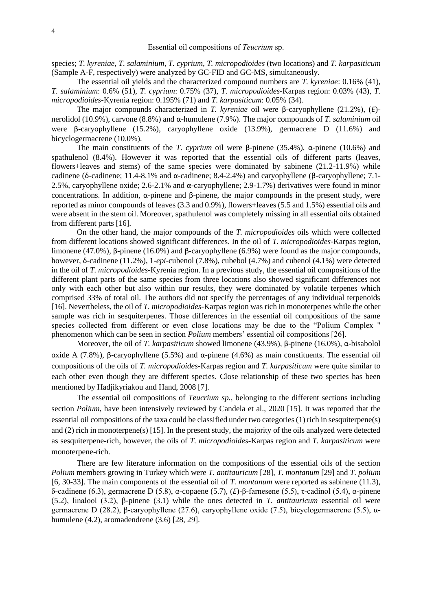species; *T. kyreniae, T. salaminium, T. cyprium, T. micropodioides* (two locations) and *T. karpasiticum*  (Sample A-F, respectively) were analyzed by GC-FID and GC-MS, simultaneously.

The essential oil yields and the characterized compound numbers are *T. kyreniae*: 0.16% (41), *T. salaminium*: 0.6% (51), *T. cyprium*: 0.75% (37), *T. micropodioides-*Karpas region: 0.03% (43), *T. micropodioides*-Kyrenia region: 0.195% (71) and *T. karpasiticum*: 0.05% (34).

The major compounds characterized in *T. kyreniae* oil were β-caryophyllene (21.2%), (*Ε*) nerolidol (10.9%), carvone (8.8%) and α-humulene (7.9%). The major compounds of *T. salaminium* oil were β-caryophyllene (15.2%), caryophyllene oxide (13.9%), germacrene D (11.6%) and bicyclogermacrene (10.0%).

The main constituents of the *T. cyprium* oil were β-pinene (35.4%), α-pinene (10.6%) and spathulenol (8.4%). However it was reported that the essential oils of different parts (leaves, flowers+leaves and stems) of the same species were dominated by sabinene (21.2-11.9%) while cadinene (δ-cadinene; 11.4-8.1% and α-cadinene; 8.4-2.4%) and caryophyllene (β-caryophyllene; 7.1-2.5%, caryophyllene oxide; 2.6-2.1% and α-caryophyllene; 2.9-1.7%) derivatives were found in minor concentrations. In addition,  $\alpha$ -pinene and  $\beta$ -pinene, the major compounds in the present study, were reported as minor compounds of leaves (3.3 and 0.9%), flowers+leaves (5.5 and 1.5%) essential oils and were absent in the stem oil. Moreover, spathulenol was completely missing in all essential oils obtained from different parts [16].

On the other hand, the major compounds of the *T. micropodioides* oils which were collected from different locations showed significant differences. In the oil of *T. micropodioides-*Karpas region, limonene (47.0%), β-pinene (16.0%) and β-caryophyllene (6.9%) were found as the major compounds, however, δ-cadinene (11.2%), 1-*epi*-cubenol (7.8%), cubebol (4.7%) and cubenol (4.1%) were detected in the oil of *T. micropodioides*-Kyrenia region. In a previous study, the essential oil compositions of the different plant parts of the same species from three locations also showed significant differences not only with each other but also within our results, they were dominated by volatile terpenes which comprised 33% of total oil. The authors did not specify the percentages of any individual terpenoids [16]. Nevertheless, the oil of *T. micropodioides-*Karpas region was rich in monoterpenes while the other sample was rich in sesquiterpenes. Those differences in the essential oil compositions of the same species collected from different or even close locations may be due to the "Polium Complex '' phenomenon which can be seen in section *Polium* members' essential oil compositions [26].

Moreover, the oil of *T. karpasiticum* showed limonene (43.9%), β-pinene (16.0%), α-bisabolol oxide A (7.8%), β-caryophyllene (5.5%) and  $\alpha$ -pinene (4.6%) as main constituents. The essential oil compositions of the oils of *T. micropodioides-*Karpas region and *T. karpasiticum* were quite similar to each other even though they are different species. Close relationship of these two species has been mentioned by Hadjikyriakou and Hand, 2008 [7].

The essential oil compositions of *Teucrium sp.,* belonging to the different sections including section *Polium*, have been intensively reviewed by Candela et al., 2020 [15]. It was reported that the essential oil compositions of the taxa could be classified under two categories (1) rich in sesquiterpene(s) and (2) rich in monoterpene(s) [15]. In the present study, the majority of the oils analyzed were detected as sesquiterpene-rich, however, the oils of *T. micropodioides-*Karpas region and *T. karpasiticum* were monoterpene-rich.

There are few literature information on the compositions of the essential oils of the section *Polium* members growing in Turkey which were *T. antitauricum* [28], *T. montanum* [29] and *T. polium*  [6, 30-33]. The main components of the essential oil of *T. montanum* were reported as sabinene (11.3), δ-cadinene (6.3), germacrene D (5.8), α-copaene (5.7), (*Ε*)-β-farnesene (5.5), τ-cadinol (5.4), α-pinene (5.2), linalool (3.2), β-pinene (3.1) while the ones detected in *T. antitauricum* essential oil were germacrene D (28.2), β-caryophyllene (27.6), caryophyllene oxide (7.5), bicyclogermacrene (5.5), αhumulene (4.2), aromadendrene (3.6) [28, 29].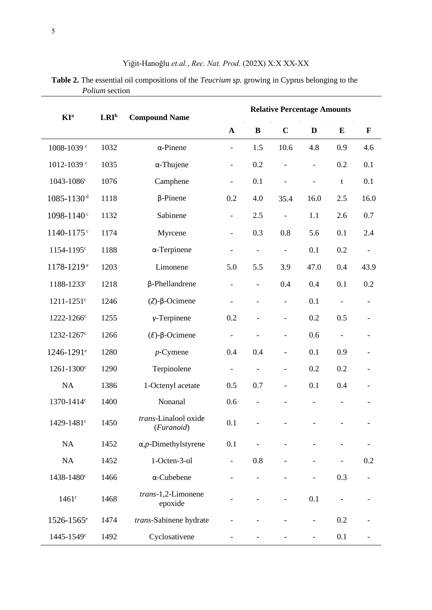| <b>KI</b> <sup>a</sup>     | $LRI^b$ | <b>Compound Name</b>                 | <b>Relative Percentage Amounts</b> |                              |                          |                          |                          |                              |  |  |  |
|----------------------------|---------|--------------------------------------|------------------------------------|------------------------------|--------------------------|--------------------------|--------------------------|------------------------------|--|--|--|
|                            |         |                                      | $\mathbf{A}$                       | $\bf{B}$                     | $\mathbf C$              | D                        | E                        | $\mathbf{F}$                 |  |  |  |
| 1008-1039 <sup>c</sup>     | 1032    | $\alpha$ -Pinene                     |                                    | 1.5                          | 10.6                     | 4.8                      | 0.9                      | 4.6                          |  |  |  |
| 1012-1039 <sup>c</sup>     | 1035    | $\alpha$ -Thujene                    | $\qquad \qquad \blacksquare$       | 0.2                          | $\overline{\phantom{0}}$ | $\overline{\phantom{0}}$ | 0.2                      | 0.1                          |  |  |  |
| 1043-1086 <sup>c</sup>     | 1076    | Camphene                             | $\overline{\phantom{0}}$           | 0.1                          | $\overline{\phantom{0}}$ | $\overline{\phantom{0}}$ | t                        | 0.1                          |  |  |  |
| $1085 - 1130$ <sup>d</sup> | 1118    | $\beta$ -Pinene                      | 0.2                                | 4.0                          | 35.4                     | 16.0                     | 2.5                      | 16.0                         |  |  |  |
| 1098-1140 <sup>c</sup>     | 1132    | Sabinene                             | $\overline{\phantom{a}}$           | 2.5                          | $\overline{\phantom{0}}$ | 1.1                      | 2.6                      | 0.7                          |  |  |  |
| 1140-1175 <sup>c</sup>     | 1174    | Myrcene                              | $\overline{\phantom{a}}$           | 0.3                          | 0.8                      | 5.6                      | 0.1                      | 2.4                          |  |  |  |
| 1154-1195 <sup>c</sup>     | 1188    | $\alpha$ -Terpinene                  | $\overline{\phantom{a}}$           | $\overline{\phantom{a}}$     | $\overline{\phantom{a}}$ | 0.1                      | 0.2                      | $\qquad \qquad \blacksquare$ |  |  |  |
| 1178-1219 <sup>e</sup>     | 1203    | Limonene                             | 5.0                                | 5.5                          | 3.9                      | 47.0                     | 0.4                      | 43.9                         |  |  |  |
| 1188-1233c                 | 1218    | $\beta$ -Phellandrene                | $\qquad \qquad \blacksquare$       | $\overline{\phantom{0}}$     | 0.4                      | 0.4                      | 0.1                      | 0.2                          |  |  |  |
| $1211 - 1251$ <sup>c</sup> | 1246    | $(Z)$ - $\beta$ -Ocimene             | $\overline{\phantom{a}}$           | $\overline{a}$               | $\overline{\phantom{0}}$ | 0.1                      | $\overline{\phantom{0}}$ |                              |  |  |  |
| 1222-1266c                 | 1255    | $\gamma$ -Terpinene                  | 0.2                                | $\overline{\phantom{0}}$     | $\overline{\phantom{0}}$ | 0.2                      | 0.5                      |                              |  |  |  |
| 1232-1267 <sup>c</sup>     | 1266    | $(E)$ - $\beta$ -Ocimene             | $\overline{\phantom{a}}$           | $\overline{\phantom{0}}$     | $\overline{\phantom{0}}$ | 0.6                      | $\overline{\phantom{0}}$ |                              |  |  |  |
| 1246-1291 <sup>e</sup>     | 1280    | $p$ -Cymene                          | 0.4                                | 0.4                          |                          | 0.1                      | 0.9                      |                              |  |  |  |
| 1261-1300 <sup>c</sup>     | 1290    | Terpinolene                          | $\overline{\phantom{0}}$           | $\qquad \qquad \blacksquare$ |                          | 0.2                      | 0.2                      |                              |  |  |  |
| NA                         | 1386    | 1-Octenyl acetate                    | 0.5                                | 0.7                          | $\qquad \qquad -$        | 0.1                      | 0.4                      |                              |  |  |  |
| 1370-1414 <sup>c</sup>     | 1400    | Nonanal                              | 0.6                                | -                            |                          |                          |                          |                              |  |  |  |
| 1429-1481 <sup>c</sup>     | 1450    | trans-Linalool oxide<br>(Furanoid)   | 0.1                                | -                            |                          |                          |                          |                              |  |  |  |
| NA                         | 1452    | $\alpha$ , <i>p</i> -Dimethylstyrene | 0.1                                |                              |                          |                          |                          |                              |  |  |  |
| NA                         | 1452    | 1-Octen-3-ol                         | $\overline{\phantom{0}}$           | 0.8                          |                          |                          |                          | 0.2                          |  |  |  |
| 1438-1480 <sup>c</sup>     | 1466    | $\alpha$ -Cubebene                   |                                    |                              |                          |                          | 0.3                      |                              |  |  |  |
| 1461c                      | 1468    | trans-1,2-Limonene<br>epoxide        |                                    | $\overline{\phantom{0}}$     |                          | 0.1                      | $\overline{\phantom{0}}$ |                              |  |  |  |
| 1526-1565 <sup>e</sup>     | 1474    | trans-Sabinene hydrate               |                                    |                              |                          | $\overline{\phantom{a}}$ | 0.2                      |                              |  |  |  |
| 1445-1549 <sup>c</sup>     | 1492    | Cyclosativene                        |                                    |                              |                          |                          | 0.1                      |                              |  |  |  |

# Yiğit-Hanoğlu et.al., Rec. Nat. Prod. (202X) X:X XX-XX

Table 2. The essential oil compositions of the Teucrium sp. growing in Cyprus belonging to the Polium section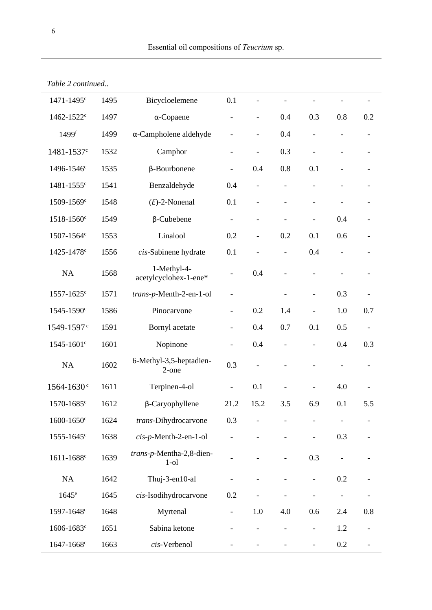| 1471-1495 <sup>c</sup>     | 1495 | Bicycloelemene                       | 0.1                          |                          |                              |                          |     |                          |
|----------------------------|------|--------------------------------------|------------------------------|--------------------------|------------------------------|--------------------------|-----|--------------------------|
| 1462-1522 <sup>c</sup>     | 1497 | $\alpha$ -Copaene                    | $\overline{\phantom{0}}$     | $\blacksquare$           | 0.4                          | 0.3                      | 0.8 | 0.2                      |
| 1499 <sup>f</sup>          | 1499 | $\alpha$ -Campholene aldehyde        |                              |                          | 0.4                          |                          |     |                          |
| 1481-1537 <sup>c</sup>     | 1532 | Camphor                              |                              | $\overline{\phantom{0}}$ | 0.3                          |                          |     |                          |
| 1496-1546 <sup>c</sup>     | 1535 | $\beta$ -Bourbonene                  | $\overline{a}$               | 0.4                      | 0.8                          | 0.1                      |     |                          |
| 1481-1555c                 | 1541 | Benzaldehyde                         | 0.4                          | $\overline{\phantom{a}}$ | $\overline{a}$               | $\overline{\phantom{a}}$ |     |                          |
| 1509-1569 <sup>c</sup>     | 1548 | $(E)$ -2-Nonenal                     | 0.1                          | $\frac{1}{2}$            | $\overline{\phantom{0}}$     | $\overline{\phantom{a}}$ |     |                          |
| 1518-1560 <sup>c</sup>     | 1549 | $\beta$ -Cubebene                    | $\overline{\phantom{0}}$     | $\overline{\phantom{a}}$ | $\overline{\phantom{0}}$     | $\qquad \qquad -$        | 0.4 |                          |
| 1507-1564c                 | 1553 | Linalool                             | 0.2                          | $\blacksquare$           | 0.2                          | 0.1                      | 0.6 |                          |
| 1425-1478 <sup>c</sup>     | 1556 | cis-Sabinene hydrate                 | 0.1                          |                          |                              | 0.4                      |     |                          |
| NA                         | 1568 | 1-Methyl-4-<br>acetylcyclohex-1-ene* | $\overline{\phantom{0}}$     | 0.4                      | $\overline{a}$               |                          |     |                          |
| 1557-1625 <sup>c</sup>     | 1571 | trans-p-Menth-2-en-1-ol              | $\overline{\phantom{0}}$     |                          |                              | $\overline{\phantom{a}}$ | 0.3 |                          |
| 1545-1590 <sup>c</sup>     | 1586 | Pinocarvone                          | $\overline{\phantom{a}}$     | 0.2                      | 1.4                          |                          | 1.0 | 0.7                      |
| 1549-1597 <sup>c</sup>     | 1591 | Bornyl acetate                       | $\qquad \qquad \blacksquare$ | 0.4                      | 0.7                          | 0.1                      | 0.5 | $\overline{\phantom{a}}$ |
| 1545-1601 <sup>c</sup>     | 1601 | Nopinone                             | $\overline{\phantom{m}}$     | 0.4                      | $\overline{\phantom{0}}$     |                          | 0.4 | 0.3                      |
| <b>NA</b>                  | 1602 | 6-Methyl-3,5-heptadien-<br>2-one     | 0.3                          |                          |                              |                          |     |                          |
| $1564 - 1630$ <sup>c</sup> | 1611 | Terpinen-4-ol                        | $\qquad \qquad \blacksquare$ | 0.1                      |                              |                          | 4.0 |                          |
| 1570-1685 <sup>c</sup>     | 1612 | $\beta$ -Caryophyllene               | 21.2                         | 15.2                     | 3.5                          | 6.9                      | 0.1 | 5.5                      |
| $1600 - 1650$ c            | 1624 | trans-Dihydrocarvone                 | 0.3                          |                          |                              |                          |     |                          |
| 1555-1645 <sup>c</sup>     | 1638 | cis-p-Menth-2-en-1-ol                |                              |                          |                              |                          | 0.3 |                          |
| 1611-1688 <sup>c</sup>     | 1639 | trans-p-Mentha-2,8-dien-<br>$1$ -ol  |                              |                          |                              | 0.3                      |     |                          |
| $\rm NA$                   | 1642 | Thuj-3-en10-al                       |                              |                          |                              |                          | 0.2 |                          |
| $1645^e$                   | 1645 | cis-Isodihydrocarvone                | 0.2                          |                          |                              |                          |     |                          |
| 1597-1648 <sup>c</sup>     | 1648 | Myrtenal                             | $\qquad \qquad \blacksquare$ | 1.0                      | 4.0                          | 0.6                      | 2.4 | 0.8                      |
| 1606-1683 <sup>c</sup>     | 1651 | Sabina ketone                        | $\qquad \qquad -$            | $\overline{\phantom{a}}$ | $\qquad \qquad \blacksquare$ | $\overline{\phantom{a}}$ | 1.2 |                          |
| 1647-1668 <sup>c</sup>     | 1663 | cis-Verbenol                         |                              | $\overline{\phantom{0}}$ | $\qquad \qquad \blacksquare$ | $\overline{\phantom{a}}$ | 0.2 |                          |

Table 2 continued..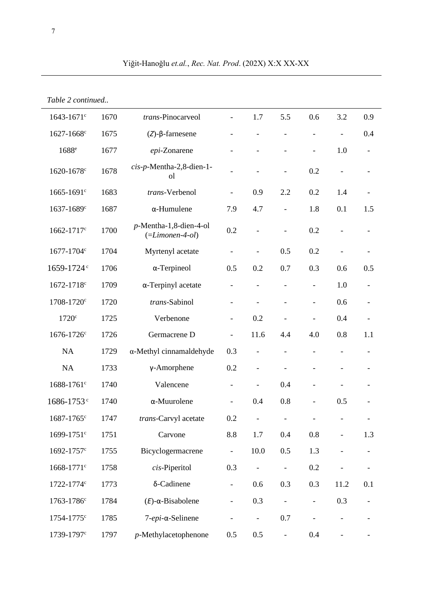|  | Table 2 continued |
|--|-------------------|
|--|-------------------|

| $1643 - 1671$ c        | 1670 | trans-Pinocarveol                                       |                          | 1.7                      | 5.5                      | 0.6                      | 3.2                      | 0.9                      |
|------------------------|------|---------------------------------------------------------|--------------------------|--------------------------|--------------------------|--------------------------|--------------------------|--------------------------|
| 1627-1668 <sup>c</sup> | 1675 | $(Z)$ - $\beta$ -farnesene                              |                          | $\overline{\phantom{a}}$ |                          | L,                       |                          | 0.4                      |
| 1688 <sup>e</sup>      | 1677 | epi-Zonarene                                            |                          |                          |                          |                          | 1.0                      | $\overline{\phantom{a}}$ |
| 1620-1678 <sup>c</sup> | 1678 | cis-p-Mentha-2,8-dien-1-<br><sub>o</sub> l              | $\overline{\phantom{a}}$ |                          | $\overline{a}$           | 0.2                      |                          | $\overline{\phantom{a}}$ |
| 1665-1691 <sup>c</sup> | 1683 | trans-Verbenol                                          | $\overline{\phantom{a}}$ | 0.9                      | 2.2                      | 0.2                      | 1.4                      | $\overline{\phantom{a}}$ |
| 1637-1689 <sup>c</sup> | 1687 | $\alpha$ -Humulene                                      | 7.9                      | 4.7                      | $\overline{\phantom{0}}$ | 1.8                      | 0.1                      | 1.5                      |
| 1662-1717 <sup>c</sup> | 1700 | $p$ -Mentha-1,8-dien-4-ol<br>$(=\textit{Limonen-4-ol})$ | 0.2                      | $\overline{\phantom{a}}$ |                          | 0.2                      |                          |                          |
| 1677-1704c             | 1704 | Myrtenyl acetate                                        | $\overline{\phantom{0}}$ |                          | 0.5                      | 0.2                      |                          |                          |
| 1659-1724 <sup>c</sup> | 1706 | $\alpha$ -Terpineol                                     | 0.5                      | 0.2                      | 0.7                      | 0.3                      | 0.6                      | 0.5                      |
| 1672-1718 <sup>c</sup> | 1709 | $\alpha$ -Terpinyl acetate                              |                          |                          |                          |                          | 1.0                      |                          |
| 1708-1720 <sup>c</sup> | 1720 | trans-Sabinol                                           |                          |                          |                          | $\qquad \qquad -$        | 0.6                      |                          |
| $1720$ c               | 1725 | Verbenone                                               | $\overline{\phantom{a}}$ | 0.2                      |                          |                          | 0.4                      |                          |
| 1676-1726 <sup>c</sup> | 1726 | Germacrene D                                            | $\blacksquare$           | 11.6                     | 4.4                      | 4.0                      | 0.8                      | 1.1                      |
| <b>NA</b>              | 1729 | $\alpha$ -Methyl cinnamaldehyde                         | 0.3                      | $\overline{\phantom{a}}$ | $\overline{a}$           | $\overline{\phantom{a}}$ | $\overline{\phantom{a}}$ | $\overline{\phantom{a}}$ |
| NA                     | 1733 | $\gamma$ -Amorphene                                     | 0.2                      | $\overline{\phantom{a}}$ |                          |                          |                          |                          |
| 1688-1761 <sup>c</sup> | 1740 | Valencene                                               | $\overline{\phantom{a}}$ | $\overline{\phantom{a}}$ | 0.4                      | $\overline{\phantom{m}}$ |                          |                          |
| 1686-1753 <sup>c</sup> | 1740 | $\alpha$ -Muurolene                                     | $\overline{\phantom{a}}$ | 0.4                      | 0.8                      | $\overline{\phantom{m}}$ | 0.5                      |                          |
| 1687-1765 <sup>c</sup> | 1747 | trans-Carvyl acetate                                    | 0.2                      |                          |                          |                          |                          |                          |
| 1699-1751 <sup>c</sup> | 1751 | Carvone                                                 | 8.8                      | 1.7                      | 0.4                      | $0.8\,$                  |                          | 1.3                      |
| 1692-1757 <sup>c</sup> | 1755 | Bicyclogermacrene                                       |                          | 10.0                     | 0.5                      | 1.3                      |                          |                          |
| 1668-1771 <sup>c</sup> | 1758 | cis-Piperitol                                           | 0.3                      |                          |                          | 0.2                      |                          |                          |
| 1722-1774c             | 1773 | $\delta$ -Cadinene                                      | $\overline{\phantom{a}}$ | 0.6                      | 0.3                      | 0.3                      | 11.2                     | 0.1                      |
| 1763-1786 <sup>c</sup> | 1784 | $(E)$ - $\alpha$ -Bisabolene                            | $\overline{\phantom{a}}$ | 0.3                      |                          | $\overline{\phantom{a}}$ | 0.3                      |                          |
| 1754-1775 <sup>c</sup> | 1785 | 7-epi-α-Selinene                                        |                          | $\overline{\phantom{a}}$ | 0.7                      |                          |                          |                          |
| 1739-1797 <sup>c</sup> | 1797 | $p$ -Methylacetophenone                                 | 0.5                      | 0.5                      | $\blacksquare$           | 0.4                      |                          |                          |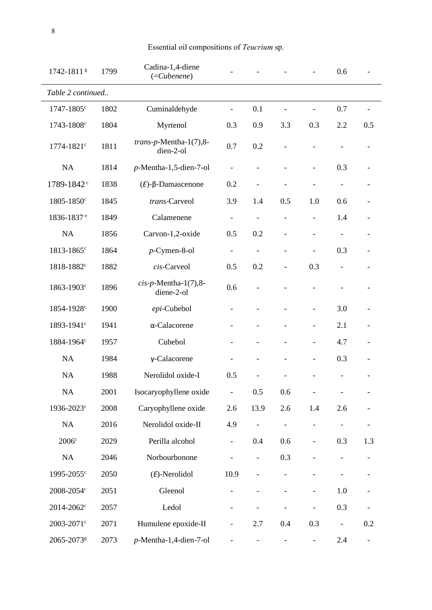| Essential oil compositions of Teucrium sp. |  |
|--------------------------------------------|--|
|                                            |  |

| 1742-18118             | 1799 | Cadina-1,4-diene<br>$(=Cubeene)$       |                              |                              |                          |                              | 0.6                      |                              |
|------------------------|------|----------------------------------------|------------------------------|------------------------------|--------------------------|------------------------------|--------------------------|------------------------------|
| Table 2 continued      |      |                                        |                              |                              |                          |                              |                          |                              |
| 1747-1805 <sup>c</sup> | 1802 | Cuminaldehyde                          | $\overline{\phantom{0}}$     | 0.1                          | $\overline{\phantom{0}}$ | L,                           | 0.7                      |                              |
| 1743-1808 <sup>c</sup> | 1804 | Myrtenol                               | 0.3                          | 0.9                          | 3.3                      | 0.3                          | 2.2                      | 0.5                          |
| 1774-1821 <sup>c</sup> | 1811 | $trans-p$ -Mentha-1(7),8-<br>dien-2-ol | 0.7                          | 0.2                          |                          |                              |                          |                              |
| NA                     | 1814 | $p$ -Mentha-1,5-dien-7-ol              | $\qquad \qquad -$            |                              |                          |                              | 0.3                      |                              |
| 1789-1842 <sup>c</sup> | 1838 | $(E)$ -β-Damascenone                   | 0.2                          |                              |                          |                              |                          |                              |
| 1805-1850 <sup>c</sup> | 1845 | trans-Carveol                          | 3.9                          | 1.4                          | 0.5                      | 1.0                          | 0.6                      |                              |
| 1836-1837 <sup>e</sup> | 1849 | Calamenene                             | $\qquad \qquad \blacksquare$ | $\overline{a}$               |                          | $\overline{a}$               | 1.4                      |                              |
| NA                     | 1856 | Carvon-1,2-oxide                       | 0.5                          | 0.2                          |                          |                              |                          |                              |
| 1813-1865 <sup>c</sup> | 1864 | $p$ -Cymen-8-ol                        | $\qquad \qquad \blacksquare$ | $\overline{a}$               |                          |                              | 0.3                      |                              |
| 1818-1882 <sup>c</sup> | 1882 | cis-Carveol                            | 0.5                          | 0.2                          |                          | 0.3                          | $\overline{\phantom{0}}$ |                              |
| 1863-1903 <sup>c</sup> | 1896 | $cis$ -p-Mentha-1(7),8-<br>diene-2-ol  | 0.6                          |                              |                          |                              |                          |                              |
| 1854-1928 <sup>c</sup> | 1900 | epi-Cubebol                            |                              |                              |                          |                              | 3.0                      |                              |
| 1893-1941 <sup>c</sup> | 1941 | α-Calacorene                           |                              |                              |                          | $\overline{\phantom{0}}$     | 2.1                      |                              |
| 1884-1964 <sup>c</sup> | 1957 | Cubebol                                |                              |                              |                          | $\overline{\phantom{0}}$     | 4.7                      |                              |
| NA                     | 1984 | $\gamma$ -Calacorene                   |                              |                              |                          |                              | 0.3                      |                              |
| NA                     | 1988 | Nerolidol oxide-I                      | 0.5                          |                              |                          |                              |                          |                              |
| NA                     | 2001 | Isocaryophyllene oxide                 | $\overline{\phantom{0}}$     | $0.5\,$                      | 0.6                      |                              |                          |                              |
| 1936-2023 <sup>c</sup> | 2008 | Caryophyllene oxide                    | 2.6                          | 13.9                         | 2.6                      | 1.4                          | 2.6                      |                              |
| NA                     | 2016 | Nerolidol oxide-II                     | 4.9                          | $\qquad \qquad \blacksquare$ |                          |                              |                          |                              |
| 2006c                  | 2029 | Perilla alcohol                        | $\overline{\phantom{0}}$     | 0.4                          | 0.6                      |                              | 0.3                      | 1.3                          |
| NA                     | 2046 | Norbourbonone                          |                              | $\overline{\phantom{0}}$     | 0.3                      |                              |                          |                              |
| 1995-2055 <sup>c</sup> | 2050 | $(E)$ -Nerolidol                       | 10.9                         |                              |                          |                              |                          |                              |
| 2008-2054 <sup>c</sup> | 2051 | Gleenol                                |                              |                              |                          | $\overline{\phantom{0}}$     | 1.0                      |                              |
| 2014-2062 <sup>c</sup> | 2057 | Ledol                                  |                              |                              |                          | $\qquad \qquad \blacksquare$ | 0.3                      |                              |
| 2003-2071 <sup>c</sup> | 2071 | Humulene epoxide-II                    | $\overline{\phantom{0}}$     | 2.7                          | 0.4                      | 0.3                          |                          | 0.2                          |
| 2065-2073g             | 2073 | $p$ -Mentha-1,4-dien-7-ol              |                              |                              |                          | $\qquad \qquad \blacksquare$ | 2.4                      | $\qquad \qquad \blacksquare$ |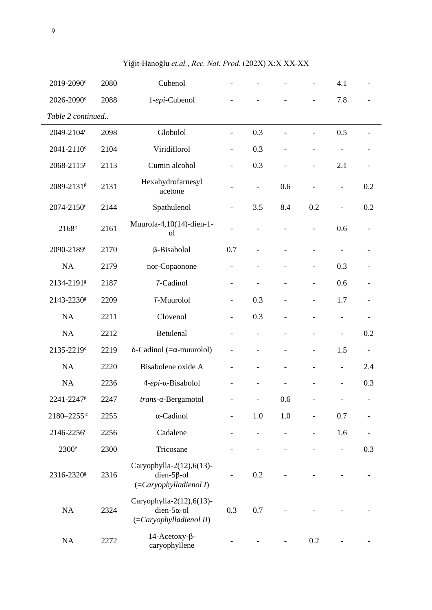| 2019-2090 <sup>c</sup>     | 2080 | Cubenol                                                                                 |                          |                          |                              |                          | 4.1                      |                          |  |
|----------------------------|------|-----------------------------------------------------------------------------------------|--------------------------|--------------------------|------------------------------|--------------------------|--------------------------|--------------------------|--|
| 2026-2090 <sup>c</sup>     | 2088 | 1-epi-Cubenol                                                                           |                          |                          |                              | $\frac{1}{2}$            | 7.8                      |                          |  |
| Table 2 continued          |      |                                                                                         |                          |                          |                              |                          |                          |                          |  |
| 2049-2104c                 | 2098 | Globulol                                                                                | $\overline{\phantom{a}}$ | 0.3                      |                              |                          | 0.5                      |                          |  |
| 2041-2110 <sup>c</sup>     | 2104 | Viridiflorol                                                                            | $\overline{\phantom{a}}$ | 0.3                      | $\overline{a}$               | $\overline{\phantom{0}}$ |                          |                          |  |
| 2068-2115g                 | 2113 | Cumin alcohol                                                                           | $\overline{\phantom{0}}$ | 0.3                      |                              | $\overline{\phantom{0}}$ | 2.1                      |                          |  |
| 2089-2131 <sup>g</sup>     | 2131 | Hexahydrofarnesyl<br>acetone                                                            |                          | $\overline{\phantom{0}}$ | 0.6                          | $\overline{a}$           | $\overline{\phantom{0}}$ | 0.2                      |  |
| 2074-2150 <sup>c</sup>     | 2144 | Spathulenol                                                                             | $\overline{\phantom{0}}$ | 3.5                      | 8.4                          | 0.2                      | $\overline{\phantom{0}}$ | 0.2                      |  |
| 2168 <sup>g</sup>          | 2161 | Muurola-4,10(14)-dien-1-<br><sub>o</sub>                                                |                          |                          |                              | $\overline{\phantom{0}}$ | 0.6                      |                          |  |
| 2090-2189c                 | 2170 | $\beta$ -Bisabolol                                                                      | 0.7                      |                          |                              | $\overline{\phantom{0}}$ |                          |                          |  |
| NA                         | 2179 | nor-Copaonone                                                                           |                          |                          | $\overline{a}$               | $\overline{\phantom{a}}$ | 0.3                      |                          |  |
| 2134-21918                 | 2187 | T-Cadinol                                                                               |                          |                          |                              | $\overline{\phantom{a}}$ | 0.6                      |                          |  |
| 2143-2230g                 | 2209 | <b>7-Muurolol</b>                                                                       | $\overline{\phantom{0}}$ | 0.3                      |                              | $\overline{\phantom{0}}$ | 1.7                      |                          |  |
| <b>NA</b>                  | 2211 | Clovenol                                                                                | $\overline{\phantom{a}}$ | 0.3                      |                              | L,                       | $\overline{\phantom{0}}$ |                          |  |
| NA                         | 2212 | Betulenal                                                                               | $\overline{\phantom{a}}$ |                          |                              | $\overline{\phantom{0}}$ | $\overline{\phantom{0}}$ | 0.2                      |  |
| 2135-2219c                 | 2219 | δ-Cadinol (= $\alpha$ -muurolol)                                                        |                          | $\overline{\phantom{0}}$ |                              | $\overline{\phantom{0}}$ | 1.5                      | $\overline{\phantom{a}}$ |  |
| NA                         | 2220 | Bisabolene oxide A                                                                      |                          |                          |                              | $\overline{\phantom{0}}$ | $\overline{\phantom{0}}$ | 2.4                      |  |
| NA                         | 2236 | 4-epi-α-Bisabolol                                                                       |                          |                          |                              |                          | $\overline{a}$           | 0.3                      |  |
| 2241-2247g                 | 2247 | trans-α-Bergamotol                                                                      |                          |                          | 0.6                          |                          |                          | $\sim$                   |  |
| $2180 - 2255$ <sup>c</sup> | 2255 | $\alpha$ -Cadinol                                                                       | $\overline{\phantom{0}}$ | 1.0                      | 1.0                          | $\overline{\phantom{0}}$ | 0.7                      |                          |  |
| 2146-2256 <sup>c</sup>     | 2256 | Cadalene                                                                                |                          |                          | $\qquad \qquad \blacksquare$ | $\overline{\phantom{0}}$ | 1.6                      |                          |  |
| $2300^{\circ}$             | 2300 | Tricosane                                                                               |                          |                          |                              |                          |                          | 0.3                      |  |
| 2316-2320g                 | 2316 | Caryophylla-2(12), 6(13)-<br>dien- $5\beta$ -ol<br>$(=\frac{Caryophylladienol I}{D})$   | $\overline{\phantom{0}}$ | 0.2                      |                              |                          |                          |                          |  |
| NA                         | 2324 | Caryophylla-2(12), 6(13)-<br>dien- $5\alpha$ -ol<br>$(=\frac{Caryophylladienol II}{D})$ | 0.3                      | 0.7                      |                              |                          |                          |                          |  |
| NA                         | 2272 | $14$ -Acetoxy- $\beta$ -<br>caryophyllene                                               |                          |                          |                              | 0.2                      |                          |                          |  |

Yiğit-Hanoğlu et.al., Rec. Nat. Prod. (202X) X:X XX-XX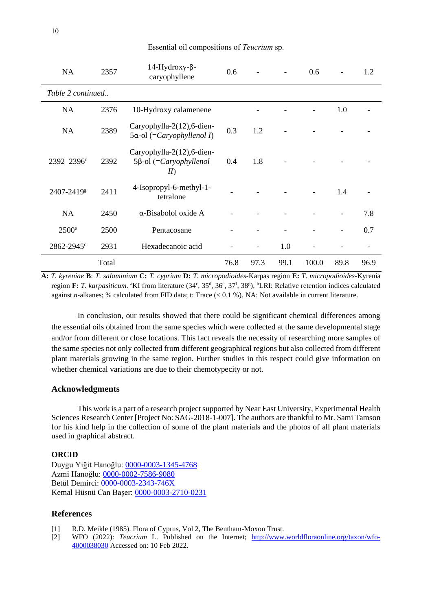| Essential oil compositions of Teucrium sp. |  |  |  |  |
|--------------------------------------------|--|--|--|--|
|--------------------------------------------|--|--|--|--|

| <b>NA</b>              | 2357  | 14-Hydroxy-β-<br>caryophyllene                                           | 0.6  |      |      | 0.6   |      | 1.2  |
|------------------------|-------|--------------------------------------------------------------------------|------|------|------|-------|------|------|
| Table 2 continued      |       |                                                                          |      |      |      |       |      |      |
| NA                     | 2376  | 10-Hydroxy calamenene                                                    |      |      |      |       | 1.0  |      |
| <b>NA</b>              | 2389  | Caryophylla-2(12), 6-dien-<br>$5\alpha$ -ol (= <i>Caryophyllenol I</i> ) | 0.3  | 1.2  |      |       |      |      |
| $2392 - 2396$ c        | 2392  | Caryophylla-2(12), 6-dien-<br>$5\beta$ -ol (=Caryophyllenol<br>$I\!I$    | 0.4  | 1.8  |      |       |      |      |
| 2407-2419g             | 2411  | 4-Isopropyl-6-methyl-1-<br>tetralone                                     |      |      |      |       | 1.4  |      |
| <b>NA</b>              | 2450  | $\alpha$ -Bisabolol oxide A                                              |      |      |      |       |      | 7.8  |
| $2500^{\circ}$         | 2500  | Pentacosane                                                              |      |      |      |       |      | 0.7  |
| 2862-2945 <sup>c</sup> | 2931  | Hexadecanoic acid                                                        |      |      | 1.0  |       |      |      |
|                        | Total |                                                                          | 76.8 | 97.3 | 99.1 | 100.0 | 89.8 | 96.9 |

**A:** *T. kyreniae* **B**: *T. salaminium* **C:** *T. cyprium* **D:** *T. micropodioides-*Karpas region **E:** *T. micropodioides*-Kyrenia region F: T. karpasiticum. <sup>a</sup>KI from literature (34<sup>c</sup>, 35<sup>d</sup>, 36<sup>e</sup>, 37<sup>f</sup>, 38<sup>g</sup>), <sup>b</sup>LRI: Relative retention indices calculated against *n*-alkanes; % calculated from FID data; t: Trace (< 0.1 %), NA: Not available in current literature.

In conclusion, our results showed that there could be significant chemical differences among the essential oils obtained from the same species which were collected at the same developmental stage and/or from different or close locations. This fact reveals the necessity of researching more samples of the same species not only collected from different geographical regions but also collected from different plant materials growing in the same region. Further studies in this respect could give information on whether chemical variations are due to their chemotypecity or not.

# **Acknowledgments**

This work is a part of a research project supported by Near East University, Experimental Health Sciences Research Center [Project No: SAG-2018-1-007]. The authors are thankful to Mr. Sami Tamson for his kind help in the collection of some of the plant materials and the photos of all plant materials used in graphical abstract.

## **ORCID**

Duygu Yiğit Hanoğlu: [0000-0003-1345-4768](https://orcid.org/0000-0003-1345-4768) Azmi Hanoğlu: [0000-0002-7586-9080](https://orcid.org/0000-0002-7586-9080) Betül Demirci: [0000-0003-2343-746X](https://orcid.org/0000-0003-2343-746X) Kemal Hüsnü Can Başer: [0000-0003-2710-0231](https://orcid.org/0000-0003-2710-0231)

### **References**

- [1] R.D. Meikle (1985). Flora of Cyprus, Vol 2, The Bentham-Moxon Trust.
- [2] WFO (2022): *Teucrium* L. Published on the Internet; [http://www.worldfloraonline.org/taxon/wfo-](http://www.worldfloraonline.org/taxon/wfo-4000038030)[4000038030](http://www.worldfloraonline.org/taxon/wfo-4000038030) Accessed on: 10 Feb 2022.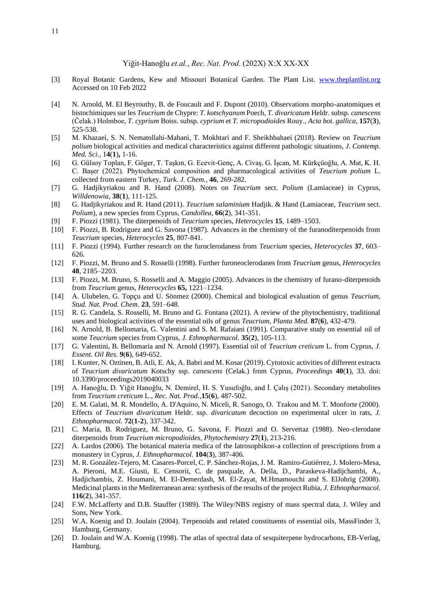- [3] Royal Botanic Gardens, Kew and Missouri Botanical Garden. The Plant List. [www.theplantlist.org](http://www.theplantlist.org/) Accessed on 10 Feb 2022
- [4] N. Arnold, M. El Beyrouthy, B. de Foucault and F. Dupont (2010). Observations morpho-anatomiques et histochimiques sur les *Teucrium* de Chypre: *T. kotschyanum* Poech, *T. divaricatum* Heldr. subsp. *canescens* (Čelak.) Holmboe, *T. cyprium* Boiss. subsp. *cyprium* et *T. micropodioides* Rouy., *Acta bot. gallica*, **157**(**3**), 525-538.
- [5] M. Khazaei, S. N. Nematollahi-Mahani, T. Mokhtari and F. Sheikhbahaei (2018). Review on *Teucrium polium* biological activities and medical characteristics against different pathologic situations, *J. Contemp. Med. Sci.*, 1**4**(**1**)**,** 1-16.
- [6] G. Gülsoy Toplan, F. Göger, T. Taşkın, G. Ecevit-Genç, A. Civaş, G. İşcan, M. Kürkçüoğlu, A. Mat, K. H. C. Başer (2022). Phytochemical composition and pharmacological activities of *Teucrium polium* L. collected from eastern Turkey, *Turk. J. Chem.*, **46**, 269-282.
- [7] G. Hadjikyriakou and R. Hand (2008). Notes on *Teucrium* sect. *Polium* (Lamiaceae) in Cyprus, *Willdenowia*, **38**(**1**), 111-125.
- [8] G. Hadjikyriakou and R. Hand (2011). *Teucrium salaminium* Hadjik. & Hand (Lamiaceae, *Teucrium* sect. *Polium*), a new species from Cyprus, *Candollea*, **66**(**2**), 341-351.
- [9] F. Piozzi (1981). The diterpenoids of *Teucrium* species, *Heterocycles* **15**, 1489–1503.
- [10] F. Piozzi, B. Rodriguez and G. Savona (1987). Advances in the chemistry of the furanoditerpenoids from *Teucrium* species, *Heterocycles* **25**, 807-841.
- [11] F. Piozzi (1994). Further research on the furoclerodaness from *Teucrium* species, *Heterocycles* **37**, 603– 626.
- [12] F. Piozzi, M. Bruno and S. Rosselli (1998). Further furoneoclerodanes from *Teucrium* genus, *Heterocycles* **48**, 2185–2203.
- [13] F. Piozzi, M. Bruno, S. Rosselli and A. Maggio (2005). Advances in the chemistry of furano-diterpenoids from *Teucrium* genus, *Heterocycles* **65,** 1221–1234.
- [14] A. Ulubelen, G. Topçu and U. Sönmez (2000). Chemical and biological evaluation of genus *Teucrium*, *Stud. Nat. Prod. Chem.* **23**, 591–648.
- [15] R. G. Candela, S. Rosselli, M. Bruno and G. Fontana (2021). A review of the phytochemistry, traditional uses and biological activities of the essential oils of genus *Teucrium, Planta Med.* **87**(**6**), 432-479.
- [16] N. Arnold, B. Bellomaria, G. Valentini and S. M. Rafaiani (1991). Comparative study on essential oil of some *Teucrium* species from Cyprus, *J. Ethnopharmacol.* **35**(**2**), 105-113.
- [17] G. Valentini, B. Bellomaria and N. Arnold (1997). Essential oil of *Teucrium creticum* L. from Cyprus, *J. Essent. Oil Res.* **9**(**6**), 649-652.
- [18] I. Kunter, N. Oztinen, B. Atli, E. Ak, A. Babri and M. Kosar (2019). Cytotoxic activities of different extracts of *Teucrium divaricatum* Kotschy ssp. *canescens* (Celak.) from Cyprus, *Proceedings* **40**(**1**), 33. doi: 10.3390/proceedings2019040033
- [19] A. Hanoğlu, D. Yiğit Hanoğlu, N. Demirel, H. S. Yusufoğlu, and İ. Çalış (2021). Secondary metabolites from *Teucrium creticum* L., *Rec. Nat. Prod.*,**15**(**6**), 487-502.
- [20] E. M. Galati, M. R. Mondello, A. D'Aquino, N. Miceli, R. Sanogo, O. Tzakou and M. T. Monforte (2000). Effects of *Teucrium divaricatum* Heldr. ssp. *divaricatum* decoction on experimental ulcer in rats, *J. Ethnopharmacol.* **72**(**1-2**), 337-342.
- [21] C. Maria, B. Rodriguez, M. Bruno, G. Savona, F. Piozzi and O. Servettaz (1988). Neo-clerodane diterpenoids from *Teucrium micropodioides*, *Phytochemistry* **27**(**1**), 213-216.
- [22] A. Lardos (2006). The botanical materia medica of the Iatrosophikon-a collection of prescriptions from a monastery in Cyprus, *J. Ethnopharmacol.* **104**(**3**), 387-406.
- [23] M. R. González-Tejero, M. Casares-Porcel, C. P. Sánchez-Rojas, J. M. Ramiro-Gutiérrez, J. Molero-Mesa, A. Pieroni, M.E. Giusti, E. Censorii, C. de pasquale, A. Della, D., Paraskeva-Hadijcha[mbi,](https://www.sciencedirect.com/science/article/pii/S0378874107006435#!) A., Hadjichambis, Z. Houmani, M. El-Demerdash, M. El-Zayat, M.Hmamouchi and S. ElJohrig (2008). Medicinal plants in the Mediterranean area: synthesis of the results of the project Rubia, *J. Ethnopharmacol.* **116**(**2**), 341-357.
- [24] F.W. McLafferty and D.B. Stauffer (1989). The Wiley/NBS registry of mass spectral data, J. Wiley and Sons, New York.
- [25] W.A. Koenig and D. Joulain (2004). Terpenoids and related constituents of essential oils, MassFinder 3, Hamburg, Germany.
- [26] D. Joulain and W.A. Koenig (1998). The atlas of spectral data of sesquiterpene hydrocarbons, EB-Verlag, Hamburg.